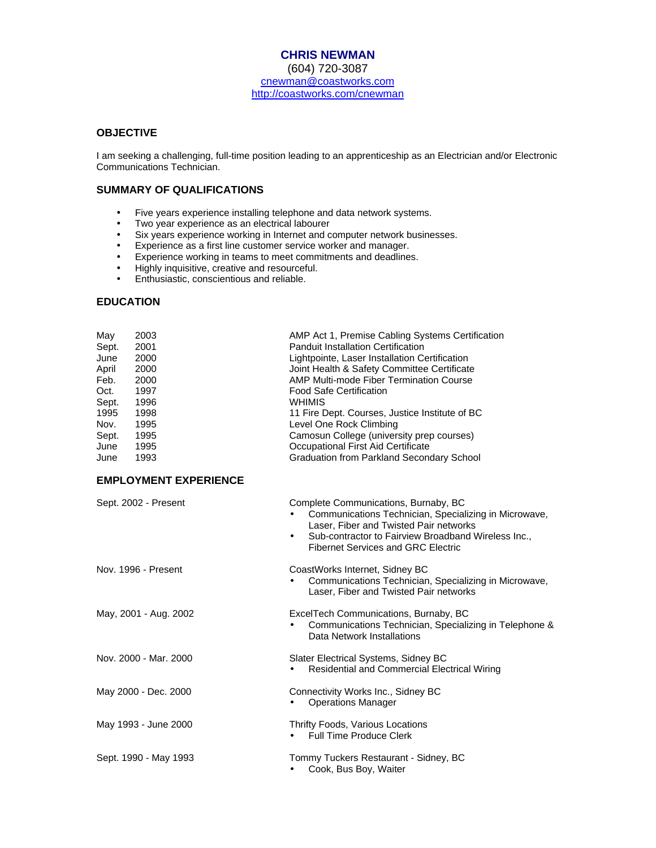# **CHRIS NEWMAN**

(604) 720-3087 cnewman@coastworks.com http://coastworks.com/cnewman

### **OBJECTIVE**

I am seeking a challenging, full-time position leading to an apprenticeship as an Electrician and/or Electronic Communications Technician.

### **SUMMARY OF QUALIFICATIONS**

- Five years experience installing telephone and data network systems.<br>• Two year experience as an electrical labourer
- Two year experience as an electrical labourer<br>• Six years experience working in Internet and c
- Six years experience working in Internet and computer network businesses.
- Experience as a first line customer service worker and manager.
- Experience working in teams to meet commitments and deadlines.
- Highly inquisitive, creative and resourceful.
- Enthusiastic, conscientious and reliable.

### **EDUCATION**

| May   | 2003 | AMP Act 1, Premise Cabling Systems Certification |
|-------|------|--------------------------------------------------|
| Sept. | 2001 | <b>Panduit Installation Certification</b>        |
| June  | 2000 | Lightpointe, Laser Installation Certification    |
| April | 2000 | Joint Health & Safety Committee Certificate      |
| Feb.  | 2000 | <b>AMP Multi-mode Fiber Termination Course</b>   |
| Oct.  | 1997 | <b>Food Safe Certification</b>                   |
| Sept. | 1996 | WHIMIS                                           |
| 1995  | 1998 | 11 Fire Dept. Courses, Justice Institute of BC   |
| Nov.  | 1995 | Level One Rock Climbing                          |
| Sept. | 1995 | Camosun College (university prep courses)        |
| June  | 1995 | Occupational First Aid Certificate               |
| June  | 1993 | Graduation from Parkland Secondary School        |
|       |      |                                                  |

# **EMPLOYMENT EXPERIENCE**

| Sept. 2002 - Present  | Complete Communications, Burnaby, BC<br>Communications Technician, Specializing in Microwave,<br>Laser, Fiber and Twisted Pair networks<br>Sub-contractor to Fairview Broadband Wireless Inc.,<br>$\bullet$<br><b>Fibernet Services and GRC Electric</b> |
|-----------------------|----------------------------------------------------------------------------------------------------------------------------------------------------------------------------------------------------------------------------------------------------------|
| Nov. 1996 - Present   | CoastWorks Internet, Sidney BC<br>Communications Technician, Specializing in Microwave,<br>Laser, Fiber and Twisted Pair networks                                                                                                                        |
| May, 2001 - Aug. 2002 | ExcelTech Communications, Burnaby, BC<br>Communications Technician, Specializing in Telephone &<br>Data Network Installations                                                                                                                            |
| Nov. 2000 - Mar. 2000 | Slater Electrical Systems, Sidney BC<br>Residential and Commercial Electrical Wiring<br>٠                                                                                                                                                                |
| May 2000 - Dec. 2000  | Connectivity Works Inc., Sidney BC<br><b>Operations Manager</b>                                                                                                                                                                                          |
| May 1993 - June 2000  | Thrifty Foods, Various Locations<br>Full Time Produce Clerk<br>٠                                                                                                                                                                                         |
| Sept. 1990 - May 1993 | Tommy Tuckers Restaurant - Sidney, BC<br>Cook, Bus Boy, Waiter                                                                                                                                                                                           |